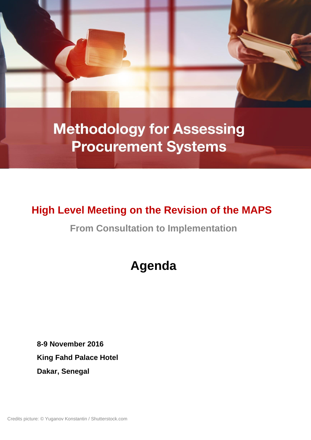

**Methodology for Assessing Procurement Systems** 

## **High Level Meeting on the Revision of the MAPS**

**From Consultation to Implementation**

# **Agenda**

**8-9 November 2016 King Fahd Palace Hotel Dakar, Senegal**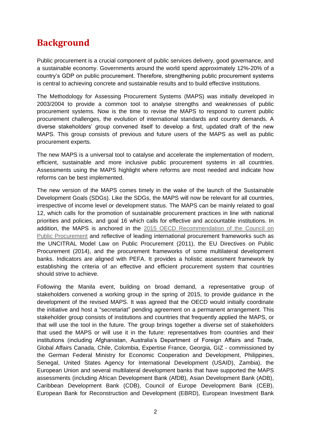### **Background**

Public procurement is a crucial component of public services delivery, good governance, and a sustainable economy. Governments around the world spend approximately 12%-20% of a country's GDP on public procurement. Therefore, strengthening public procurement systems is central to achieving concrete and sustainable results and to build effective institutions.

The Methodology for Assessing Procurement Systems (MAPS) was initially developed in 2003/2004 to provide a common tool to analyse strengths and weaknesses of public procurement systems. Now is the time to revise the MAPS to respond to current public procurement challenges, the evolution of international standards and country demands. A diverse stakeholders' group convened itself to develop a first, updated draft of the new MAPS. This group consists of previous and future users of the MAPS as well as public procurement experts.

The new MAPS is a universal tool to catalyse and accelerate the implementation of modern, efficient, sustainable and more inclusive public procurement systems in all countries. Assessments using the MAPS highlight where reforms are most needed and indicate how reforms can be best implemented.

The new version of the MAPS comes timely in the wake of the launch of the Sustainable Development Goals (SDGs). Like the SDGs, the MAPS will now be relevant for all countries, irrespective of income level or development status. The MAPS can be mainly related to goal 12, which calls for the promotion of sustainable procurement practices in line with national priorities and policies, and goal 16 which calls for effective and accountable institutions. In addition, the MAPS is anchored in the [2015 OECD Recommendation of the Council on](http://www.oecd.org/gov/ethics/recommendation-on-public-procurement.htm)  [Public Procurement](http://www.oecd.org/gov/ethics/recommendation-on-public-procurement.htm) and reflective of leading international procurement frameworks such as the UNCITRAL Model Law on Public Procurement (2011), the EU Directives on Public Procurement (2014), and the procurement frameworks of some multilateral development banks. Indicators are aligned with PEFA. It provides a holistic assessment framework by establishing the criteria of an effective and efficient procurement system that countries should strive to achieve.

Following the Manila event, building on broad demand, a representative group of stakeholders convened a working group in the spring of 2015, to provide guidance in the development of the revised MAPS. It was agreed that the OECD would initially coordinate the initiative and host a "secretariat" pending agreement on a permanent arrangement. This stakeholder group consists of institutions and countries that frequently applied the MAPS, or that will use the tool in the future. The group brings together a diverse set of stakeholders that used the MAPS or will use it in the future: representatives from countries and their institutions (including Afghanistan, Australia's Department of Foreign Affairs and Trade, Global Affairs Canada, Chile, Colombia, Expertise France, Georgia, GIZ - commissioned by the German Federal Ministry for Economic Cooperation and Development, Philippines, Senegal, United States Agency for International Development (USAID), Zambia), the European Union and several multilateral development banks that have supported the MAPS assessments (including African Development Bank (AfDB), Asian Development Bank (ADB), Caribbean Development Bank (CDB), Council of Europe Development Bank (CEB), European Bank for Reconstruction and Development (EBRD), European Investment Bank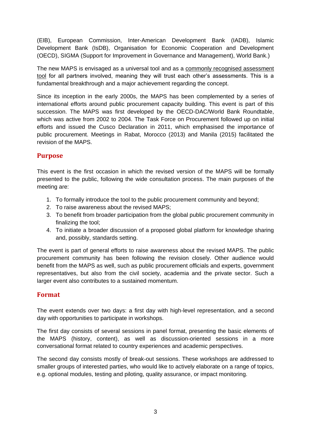(EIB), European Commission, Inter-American Development Bank (IADB), Islamic Development Bank (IsDB), Organisation for Economic Cooperation and Development (OECD), SIGMA (Support for Improvement in Governance and Management), World Bank.)

The new MAPS is envisaged as a universal tool and as a commonly recognised assessment tool for all partners involved, meaning they will trust each other's assessments. This is a fundamental breakthrough and a major achievement regarding the concept.

Since its inception in the early 2000s, the MAPS has been complemented by a series of international efforts around public procurement capacity building. This event is part of this succession. The MAPS was first developed by the OECD-DAC/World Bank Roundtable, which was active from 2002 to 2004. The Task Force on Procurement followed up on initial efforts and issued the Cusco Declaration in 2011, which emphasised the importance of public procurement. Meetings in Rabat, Morocco (2013) and Manila (2015) facilitated the revision of the MAPS.

#### **Purpose**

This event is the first occasion in which the revised version of the MAPS will be formally presented to the public, following the wide consultation process. The main purposes of the meeting are:

- 1. To formally introduce the tool to the public procurement community and beyond;
- 2. To raise awareness about the revised MAPS;
- 3. To benefit from broader participation from the global public procurement community in finalizing the tool;
- 4. To initiate a broader discussion of a proposed global platform for knowledge sharing and, possibly, standards setting.

The event is part of general efforts to raise awareness about the revised MAPS. The public procurement community has been following the revision closely. Other audience would benefit from the MAPS as well, such as public procurement officials and experts, government representatives, but also from the civil society, academia and the private sector. Such a larger event also contributes to a sustained momentum.

#### **Format**

The event extends over two days: a first day with high-level representation, and a second day with opportunities to participate in workshops.

The first day consists of several sessions in panel format, presenting the basic elements of the MAPS (history, content), as well as discussion-oriented sessions in a more conversational format related to country experiences and academic perspectives.

The second day consists mostly of break-out sessions. These workshops are addressed to smaller groups of interested parties, who would like to actively elaborate on a range of topics, e.g. optional modules, testing and piloting, quality assurance, or impact monitoring.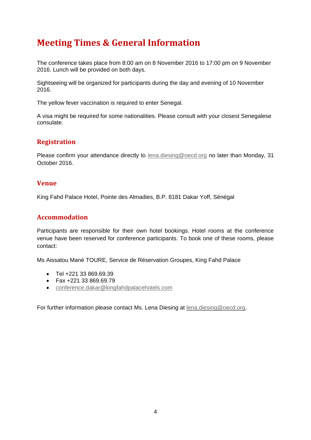### **Meeting Times & General Information**

The conference takes place from 8:00 am on 8 November 2016 to 17:00 pm on 9 November 2016. Lunch will be provided on both days.

Sightseeing will be organized for participants during the day and evening of 10 November 2016.

The vellow fever vaccination is required to enter Senegal.

A visa might be required for some nationalities. Please consult with your closest Senegalese consulate.

#### **Registration**

Please confirm your attendance directly to **[lena.diesing@oecd.org](mailto:lena.diesing@oecd.org)** no later than Monday, 31 October 2016.

#### **Venue**

King Fahd Palace Hotel, Pointe des Almadies, B.P. 8181 Dakar Yoff, Sénégal

#### **Accommodation**

Participants are responsible for their own hotel bookings. Hotel rooms at the conference venue have been reserved for conference participants. To book one of these rooms, please contact:

Ms Aissatou Mané TOURE, Service de Réservation Groupes, King Fahd Palace

- Tel +221 33 869.69.39
- Fax +221 33 869.69.79
- [conference.dakar@kingfahdpalacehotels.com](mailto:conference.dakar@kingfahdpalacehotels.com)

For further information please contact Ms. Lena Diesing at [lena.diesing@oecd.org.](mailto:lena.diesing@oecd.org)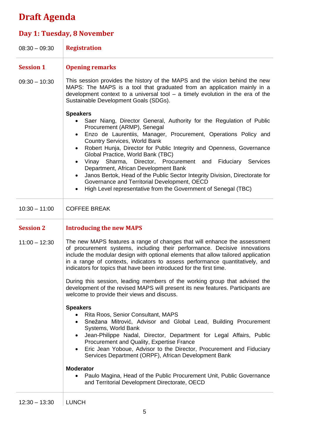## **Draft Agenda**

# **Day 1: Tuesday, 8 November**

| $08:30 - 09:30$  | <b>Registration</b>                                                                                                                                                                                                                                                                                                                                                                                                                                                                                                                                                                                                                                                                                            |
|------------------|----------------------------------------------------------------------------------------------------------------------------------------------------------------------------------------------------------------------------------------------------------------------------------------------------------------------------------------------------------------------------------------------------------------------------------------------------------------------------------------------------------------------------------------------------------------------------------------------------------------------------------------------------------------------------------------------------------------|
| <b>Session 1</b> | <b>Opening remarks</b>                                                                                                                                                                                                                                                                                                                                                                                                                                                                                                                                                                                                                                                                                         |
| $09:30 - 10:30$  | This session provides the history of the MAPS and the vision behind the new<br>MAPS: The MAPS is a tool that graduated from an application mainly in a<br>development context to a universal tool $-$ a timely evolution in the era of the<br>Sustainable Development Goals (SDGs).                                                                                                                                                                                                                                                                                                                                                                                                                            |
|                  | <b>Speakers</b><br>Saer Niang, Director General, Authority for the Regulation of Public<br>Procurement (ARMP), Senegal<br>Enzo de Laurentiis, Manager, Procurement, Operations Policy and<br>$\bullet$<br><b>Country Services, World Bank</b><br>Robert Hunja, Director for Public Integrity and Openness, Governance<br>$\bullet$<br>Global Practice, World Bank (TBC)<br>Sharma, Director, Procurement and<br>Vinay<br>Fiduciary Services<br>$\bullet$<br>Department, African Development Bank<br>Janos Bertok, Head of the Public Sector Integrity Division, Directorate for<br>$\bullet$<br>Governance and Territorial Development, OECD<br>High Level representative from the Government of Senegal (TBC) |
| $10:30 - 11:00$  | <b>COFFEE BREAK</b>                                                                                                                                                                                                                                                                                                                                                                                                                                                                                                                                                                                                                                                                                            |
| <b>Session 2</b> | <b>Introducing the new MAPS</b>                                                                                                                                                                                                                                                                                                                                                                                                                                                                                                                                                                                                                                                                                |
| $11:00 - 12:30$  | The new MAPS features a range of changes that will enhance the assessment<br>of procurement systems, including their performance. Decisive innovations<br>include the modular design with optional elements that allow tailored application<br>in a range of contexts, indicators to assess performance quantitatively, and<br>indicators for topics that have been introduced for the first time.                                                                                                                                                                                                                                                                                                             |
|                  | During this session, leading members of the working group that advised the<br>development of the revised MAPS will present its new features. Participants are<br>welcome to provide their views and discuss.                                                                                                                                                                                                                                                                                                                                                                                                                                                                                                   |
|                  | <b>Speakers</b><br>• Rita Roos, Senior Consultant, MAPS<br>Snežana Mitrović, Advisor and Global Lead, Building Procurement<br>Systems, World Bank<br>Jean-Philippe Nadal, Director, Department for Legal Affairs, Public<br>$\bullet$<br>Procurement and Quality, Expertise France<br>Eric Jean Yoboue, Advisor to the Director, Procurement and Fiduciary<br>Services Department (ORPF), African Development Bank                                                                                                                                                                                                                                                                                             |
|                  | <b>Moderator</b><br>Paulo Magina, Head of the Public Procurement Unit, Public Governance<br>$\bullet$<br>and Territorial Development Directorate, OECD                                                                                                                                                                                                                                                                                                                                                                                                                                                                                                                                                         |
| $12:30 - 13:30$  | <b>LUNCH</b>                                                                                                                                                                                                                                                                                                                                                                                                                                                                                                                                                                                                                                                                                                   |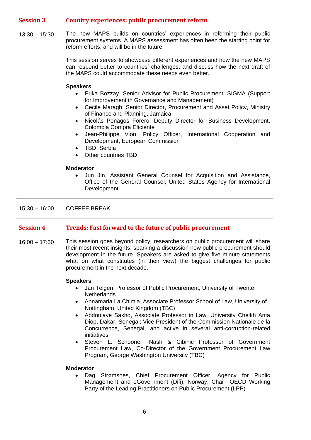| <b>Session 3</b> | <b>Country experiences: public procurement reform</b>                                                                                                                                                                                                                                                                                                                                                                                                                                                                                                                                                                                                                                                     |
|------------------|-----------------------------------------------------------------------------------------------------------------------------------------------------------------------------------------------------------------------------------------------------------------------------------------------------------------------------------------------------------------------------------------------------------------------------------------------------------------------------------------------------------------------------------------------------------------------------------------------------------------------------------------------------------------------------------------------------------|
| $13:30 - 15:30$  | The new MAPS builds on countries' experiences in reforming their public<br>procurement systems. A MAPS assessment has often been the starting point for<br>reform efforts, and will be in the future.                                                                                                                                                                                                                                                                                                                                                                                                                                                                                                     |
|                  | This session serves to showcase different experiences and how the new MAPS<br>can respond better to countries' challenges, and discuss how the next draft of<br>the MAPS could accommodate these needs even better.                                                                                                                                                                                                                                                                                                                                                                                                                                                                                       |
|                  | <b>Speakers</b><br>Erika Bozzay, Senior Advisor for Public Procurement, SIGMA (Support<br>for Improvement in Governance and Management)<br>Cecile Maragh, Senior Director, Procurement and Asset Policy, Ministry<br>$\bullet$<br>of Finance and Planning, Jamaica<br>Nicolás Penagos Forero, Deputy Director for Business Development,<br>$\bullet$<br>Colombia Compra Eficiente<br>Jean-Philippe Vion, Policy Officer,<br>International Cooperation and<br>$\bullet$<br>Development, European Commission<br>TBD, Serbia<br>$\bullet$<br>Other countries TBD                                                                                                                                             |
|                  | <b>Moderator</b><br>Jun Jin, Assistant General Counsel for Acquisition and Assistance,<br>Office of the General Counsel, United States Agency for International<br>Development                                                                                                                                                                                                                                                                                                                                                                                                                                                                                                                            |
| $15:30 - 16:00$  | <b>COFFEE BREAK</b>                                                                                                                                                                                                                                                                                                                                                                                                                                                                                                                                                                                                                                                                                       |
| <b>Session 4</b> | Trends: Fast forward to the future of public procurement                                                                                                                                                                                                                                                                                                                                                                                                                                                                                                                                                                                                                                                  |
| $16:00 - 17:30$  | This session goes beyond policy: researchers on public procurement will share<br>their most recent insights, sparking a discussion how public procurement should<br>development in the future. Speakers are asked to give five-minute statements<br>what on what constitutes (in their view) the biggest challenges for public<br>procurement in the next decade.                                                                                                                                                                                                                                                                                                                                         |
|                  | <b>Speakers</b><br>Jan Telgen, Professor of Public Procurement, University of Twente,<br>$\bullet$<br><b>Netherlands</b><br>Annamaria La Chimia, Associate Professor School of Law, University of<br>$\bullet$<br>Nottingham, United Kingdom (TBC)<br>Abdoulaye Sakho, Associate Professor in Law, University Cheikh Anta<br>$\bullet$<br>Diop, Dakar, Senegal; Vice President of the Commission Nationale de la<br>Concurrence, Senegal, and active in several anti-corruption-related<br>initiatives<br>Steven L. Schooner, Nash & Cibinic Professor of Government<br>Procurement Law, Co-Director of the Government Procurement Law<br>Program, George Washington University (TBC)<br><b>Moderator</b> |
|                  | Dag Strømsnes, Chief Procurement Officer, Agency for Public<br>$\bullet$<br>Management and eGovernment (Difi), Norway; Chair, OECD Working<br>Party of the Leading Practitioners on Public Procurement (LPP)                                                                                                                                                                                                                                                                                                                                                                                                                                                                                              |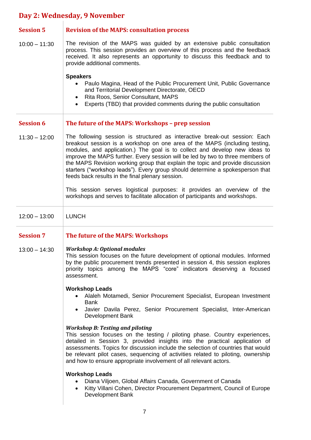## **Day 2: Wednesday, 9 November**

| <b>Session 5</b> | <b>Revision of the MAPS: consultation process</b>                                                                                                                                                                                                                                                                                                                                                                                                                                                                                              |
|------------------|------------------------------------------------------------------------------------------------------------------------------------------------------------------------------------------------------------------------------------------------------------------------------------------------------------------------------------------------------------------------------------------------------------------------------------------------------------------------------------------------------------------------------------------------|
| $10:00 - 11:30$  | The revision of the MAPS was guided by an extensive public consultation<br>process. This session provides an overview of this process and the feedback<br>received. It also represents an opportunity to discuss this feedback and to<br>provide additional comments.                                                                                                                                                                                                                                                                          |
|                  | <b>Speakers</b><br>Paulo Magina, Head of the Public Procurement Unit, Public Governance<br>$\bullet$<br>and Territorial Development Directorate, OECD<br>Rita Roos, Senior Consultant, MAPS<br>$\bullet$<br>Experts (TBD) that provided comments during the public consultation                                                                                                                                                                                                                                                                |
| <b>Session 6</b> | The future of the MAPS: Workshops - prep session                                                                                                                                                                                                                                                                                                                                                                                                                                                                                               |
| $11:30 - 12:00$  | The following session is structured as interactive break-out session: Each<br>breakout session is a workshop on one area of the MAPS (including testing,<br>modules, and application.) The goal is to collect and develop new ideas to<br>improve the MAPS further. Every session will be led by two to three members of<br>the MAPS Revision working group that explain the topic and provide discussion<br>starters ("workshop leads"). Every group should determine a spokesperson that<br>feeds back results in the final plenary session. |
|                  | This session serves logistical purposes: it provides an overview of the<br>workshops and serves to facilitate allocation of participants and workshops.                                                                                                                                                                                                                                                                                                                                                                                        |
| $12:00 - 13:00$  | <b>LUNCH</b>                                                                                                                                                                                                                                                                                                                                                                                                                                                                                                                                   |
| <b>Session 7</b> | The future of the MAPS: Workshops                                                                                                                                                                                                                                                                                                                                                                                                                                                                                                              |
| $13:00 - 14:30$  | <b>Workshop A: Optional modules</b><br>This session focuses on the future development of optional modules. Informed<br>by the public procurement trends presented in session 4, this session explores<br>priority topics among the MAPS "core" indicators deserving a focused<br>assessment.                                                                                                                                                                                                                                                   |
|                  | <b>Workshop Leads</b><br>Alaleh Motamedi, Senior Procurement Specialist, European Investment<br><b>Bank</b><br>Javier Davila Perez, Senior Procurement Specialist, Inter-American<br>Development Bank                                                                                                                                                                                                                                                                                                                                          |
|                  | <b>Workshop B: Testing and piloting</b><br>This session focuses on the testing $/$ piloting phase. Country experiences,<br>detailed in Session 3, provided insights into the practical application of<br>assessments. Topics for discussion include the selection of countries that would<br>be relevant pilot cases, sequencing of activities related to piloting, ownership<br>and how to ensure appropriate involvement of all relevant actors.                                                                                             |
|                  | <b>Workshop Leads</b><br>Diana Viljoen, Global Affairs Canada, Government of Canada<br>Kitty Villani Cohen, Director Procurement Department, Council of Europe<br>$\bullet$<br>Development Bank                                                                                                                                                                                                                                                                                                                                                |